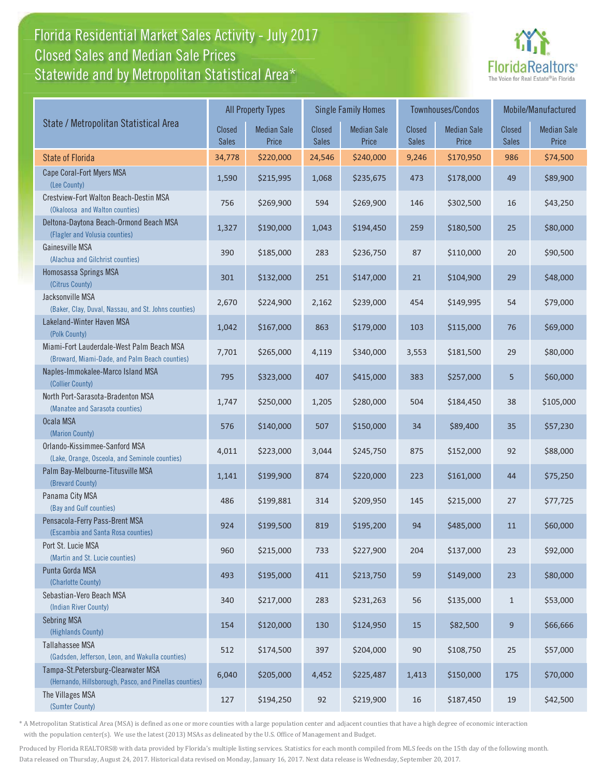# Florida Residential Market Sales Activity - July 2017 Florida Residential Market Sales Activity Statewide and by Metropolitan Statistical Area $^{\star}$ Closed Sales and Median Sale Prices



|                                                                                              |                               | <b>All Property Types</b>   |                               | <b>Single Family Homes</b>  |                        | <b>Townhouses/Condos</b>    | Mobile/Manufactured           |                             |
|----------------------------------------------------------------------------------------------|-------------------------------|-----------------------------|-------------------------------|-----------------------------|------------------------|-----------------------------|-------------------------------|-----------------------------|
| State / Metropolitan Statistical Area                                                        | <b>Closed</b><br><b>Sales</b> | <b>Median Sale</b><br>Price | <b>Closed</b><br><b>Sales</b> | <b>Median Sale</b><br>Price | Closed<br><b>Sales</b> | <b>Median Sale</b><br>Price | <b>Closed</b><br><b>Sales</b> | <b>Median Sale</b><br>Price |
| <b>State of Florida</b>                                                                      | 34,778                        | \$220,000                   | 24,546                        | \$240,000                   | 9,246                  | \$170,950                   | 986                           | \$74,500                    |
| Cape Coral-Fort Myers MSA<br>(Lee County)                                                    | 1,590                         | \$215,995                   | 1,068                         | \$235,675                   | 473                    | \$178,000                   | 49                            | \$89,900                    |
| Crestview-Fort Walton Beach-Destin MSA<br>(Okaloosa and Walton counties)                     | 756                           | \$269,900                   | 594                           | \$269,900                   | 146                    | \$302,500                   | 16                            | \$43,250                    |
| Deltona-Daytona Beach-Ormond Beach MSA<br>(Flagler and Volusia counties)                     | 1,327                         | \$190,000                   | 1,043                         | \$194,450                   | 259                    | \$180,500                   | 25                            | \$80,000                    |
| Gainesville MSA<br>(Alachua and Gilchrist counties)                                          | 390                           | \$185,000                   | 283                           | \$236,750                   | 87                     | \$110,000                   | 20                            | \$90,500                    |
| Homosassa Springs MSA<br>(Citrus County)                                                     | 301                           | \$132,000                   | 251                           | \$147,000                   | 21                     | \$104,900                   | 29                            | \$48,000                    |
| Jacksonville MSA<br>(Baker, Clay, Duval, Nassau, and St. Johns counties)                     | 2,670                         | \$224,900                   | 2,162                         | \$239,000                   | 454                    | \$149,995                   | 54                            | \$79,000                    |
| Lakeland-Winter Haven MSA<br>(Polk County)                                                   | 1,042                         | \$167,000                   | 863                           | \$179,000                   | 103                    | \$115,000                   | 76                            | \$69,000                    |
| Miami-Fort Lauderdale-West Palm Beach MSA<br>(Broward, Miami-Dade, and Palm Beach counties)  | 7,701                         | \$265,000                   | 4,119                         | \$340,000                   | 3,553                  | \$181,500                   | 29                            | \$80,000                    |
| Naples-Immokalee-Marco Island MSA<br>(Collier County)                                        | 795                           | \$323,000                   | 407                           | \$415,000                   | 383                    | \$257,000                   | 5                             | \$60,000                    |
| North Port-Sarasota-Bradenton MSA<br>(Manatee and Sarasota counties)                         | 1,747                         | \$250,000                   | 1,205                         | \$280,000                   | 504                    | \$184,450                   | 38                            | \$105,000                   |
| Ocala MSA<br>(Marion County)                                                                 | 576                           | \$140,000                   | 507                           | \$150,000                   | 34                     | \$89,400                    | 35                            | \$57,230                    |
| Orlando-Kissimmee-Sanford MSA<br>(Lake, Orange, Osceola, and Seminole counties)              | 4,011                         | \$223,000                   | 3,044                         | \$245,750                   | 875                    | \$152,000                   | 92                            | \$88,000                    |
| Palm Bay-Melbourne-Titusville MSA<br>(Brevard County)                                        | 1,141                         | \$199,900                   | 874                           | \$220,000                   | 223                    | \$161,000                   | 44                            | \$75,250                    |
| Panama City MSA<br>(Bay and Gulf counties)                                                   | 486                           | \$199,881                   | 314                           | \$209,950                   | 145                    | \$215,000                   | 27                            | \$77,725                    |
| Pensacola-Ferry Pass-Brent MSA<br>(Escambia and Santa Rosa counties)                         | 924                           | \$199,500                   | 819                           | \$195,200                   | 94                     | \$485,000                   | 11                            | \$60,000                    |
| Port St. Lucie MSA<br>(Martin and St. Lucie counties)                                        | 960                           | \$215,000                   | 733                           | \$227,900                   | 204                    | \$137,000                   | 23                            | \$92,000                    |
| Punta Gorda MSA<br>(Charlotte County)                                                        | 493                           | \$195,000                   | 411                           | \$213,750                   | 59                     | \$149,000                   | 23                            | \$80,000                    |
| Sebastian-Vero Beach MSA<br>(Indian River County)                                            | 340                           | \$217,000                   | 283                           | \$231,263                   | 56                     | \$135,000                   | $\mathbf{1}$                  | \$53,000                    |
| <b>Sebring MSA</b><br>(Highlands County)                                                     | 154                           | \$120,000                   | 130                           | \$124,950                   | 15                     | \$82,500                    | 9                             | \$66,666                    |
| Tallahassee MSA<br>(Gadsden, Jefferson, Leon, and Wakulla counties)                          | 512                           | \$174,500                   | 397                           | \$204,000                   | $90\,$                 | \$108,750                   | 25                            | \$57,000                    |
| Tampa-St.Petersburg-Clearwater MSA<br>(Hernando, Hillsborough, Pasco, and Pinellas counties) | 6,040                         | \$205,000                   | 4,452                         | \$225,487                   | 1,413                  | \$150,000                   | 175                           | \$70,000                    |
| The Villages MSA<br>(Sumter County)                                                          | 127                           | \$194,250                   | 92                            | \$219,900                   | 16                     | \$187,450                   | 19                            | \$42,500                    |

\* A Metropolitan Statistical Area (MSA) is defined as one or more counties with a large population center and adjacent counties that have a high degree of economic interaction with the population center(s). We use the latest (2013) MSAs as delineated by the U.S. Office of Management and Budget.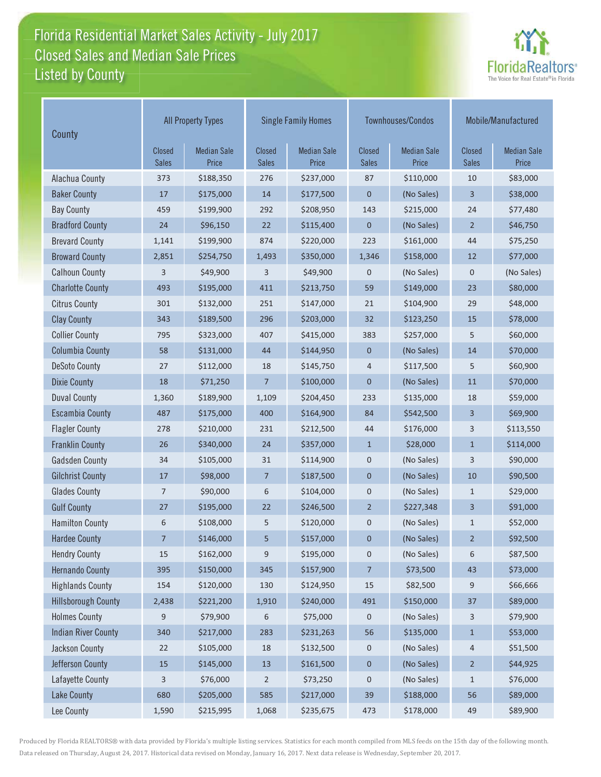# Florida Residential Market Sales Activity - July 2017 Florida Residential Market Sales Activity Listed by County Closed Sales and Median Sale Prices



| County                     | <b>All Property Types</b> |                             |                        | <b>Single Family Homes</b>  |                               | Townhouses/Condos           | Mobile/Manufactured    |                             |
|----------------------------|---------------------------|-----------------------------|------------------------|-----------------------------|-------------------------------|-----------------------------|------------------------|-----------------------------|
|                            | Closed<br><b>Sales</b>    | <b>Median Sale</b><br>Price | Closed<br><b>Sales</b> | <b>Median Sale</b><br>Price | <b>Closed</b><br><b>Sales</b> | <b>Median Sale</b><br>Price | Closed<br><b>Sales</b> | <b>Median Sale</b><br>Price |
| Alachua County             | 373                       | \$188,350                   | 276                    | \$237,000                   | 87                            | \$110,000                   | 10                     | \$83,000                    |
| <b>Baker County</b>        | $17\,$                    | \$175,000                   | 14                     | \$177,500                   | $\mathbf 0$                   | (No Sales)                  | 3                      | \$38,000                    |
| <b>Bay County</b>          | 459                       | \$199,900                   | 292                    | \$208,950                   | 143                           | \$215,000                   | 24                     | \$77,480                    |
| <b>Bradford County</b>     | 24                        | \$96,150                    | 22                     | \$115,400                   | $\boldsymbol{0}$              | (No Sales)                  | $\overline{2}$         | \$46,750                    |
| <b>Brevard County</b>      | 1,141                     | \$199,900                   | 874                    | \$220,000                   | 223                           | \$161,000                   | 44                     | \$75,250                    |
| <b>Broward County</b>      | 2,851                     | \$254,750                   | 1,493                  | \$350,000                   | 1,346                         | \$158,000                   | 12                     | \$77,000                    |
| <b>Calhoun County</b>      | 3                         | \$49,900                    | 3                      | \$49,900                    | 0                             | (No Sales)                  | $\mathbf 0$            | (No Sales)                  |
| <b>Charlotte County</b>    | 493                       | \$195,000                   | 411                    | \$213,750                   | 59                            | \$149,000                   | 23                     | \$80,000                    |
| <b>Citrus County</b>       | 301                       | \$132,000                   | 251                    | \$147,000                   | 21                            | \$104,900                   | 29                     | \$48,000                    |
| <b>Clay County</b>         | 343                       | \$189,500                   | 296                    | \$203,000                   | 32                            | \$123,250                   | 15                     | \$78,000                    |
| <b>Collier County</b>      | 795                       | \$323,000                   | 407                    | \$415,000                   | 383                           | \$257,000                   | 5                      | \$60,000                    |
| <b>Columbia County</b>     | 58                        | \$131,000                   | 44                     | \$144,950                   | $\boldsymbol{0}$              | (No Sales)                  | 14                     | \$70,000                    |
| <b>DeSoto County</b>       | 27                        | \$112,000                   | 18                     | \$145,750                   | 4                             | \$117,500                   | 5                      | \$60,900                    |
| <b>Dixie County</b>        | 18                        | \$71,250                    | $\overline{7}$         | \$100,000                   | $\mathbf 0$                   | (No Sales)                  | $11\,$                 | \$70,000                    |
| <b>Duval County</b>        | 1,360                     | \$189,900                   | 1,109                  | \$204,450                   | 233                           | \$135,000                   | 18                     | \$59,000                    |
| <b>Escambia County</b>     | 487                       | \$175,000                   | 400                    | \$164,900                   | 84                            | \$542,500                   | 3                      | \$69,900                    |
| <b>Flagler County</b>      | 278                       | \$210,000                   | 231                    | \$212,500                   | 44                            | \$176,000                   | 3                      | \$113,550                   |
| <b>Franklin County</b>     | 26                        | \$340,000                   | 24                     | \$357,000                   | $\mathbf{1}$                  | \$28,000                    | $\mathbf{1}$           | \$114,000                   |
| <b>Gadsden County</b>      | 34                        | \$105,000                   | 31                     | \$114,900                   | 0                             | (No Sales)                  | 3                      | \$90,000                    |
| <b>Gilchrist County</b>    | $17\,$                    | \$98,000                    | 7                      | \$187,500                   | $\pmb{0}$                     | (No Sales)                  | 10                     | \$90,500                    |
| <b>Glades County</b>       | 7                         | \$90,000                    | 6                      | \$104,000                   | 0                             | (No Sales)                  | 1                      | \$29,000                    |
| <b>Gulf County</b>         | 27                        | \$195,000                   | 22                     | \$246,500                   | $\overline{2}$                | \$227,348                   | 3                      | \$91,000                    |
| <b>Hamilton County</b>     | 6                         | \$108,000                   | 5                      | \$120,000                   | 0                             | (No Sales)                  | $\mathbf{1}$           | \$52,000                    |
| <b>Hardee County</b>       | 7                         | \$146,000                   | 5                      | \$157,000                   | 0                             | (No Sales)                  | $\overline{2}$         | \$92,500                    |
| <b>Hendry County</b>       | 15                        | \$162,000                   | 9                      | \$195,000                   | 0                             | (No Sales)                  | 6                      | \$87,500                    |
| <b>Hernando County</b>     | 395                       | \$150,000                   | 345                    | \$157,900                   | $\overline{7}$                | \$73,500                    | 43                     | \$73,000                    |
| <b>Highlands County</b>    | 154                       | \$120,000                   | 130                    | \$124,950                   | 15                            | \$82,500                    | 9                      | \$66,666                    |
| <b>Hillsborough County</b> | 2,438                     | \$221,200                   | 1,910                  | \$240,000                   | 491                           | \$150,000                   | 37                     | \$89,000                    |
| <b>Holmes County</b>       | 9                         | \$79,900                    | 6                      | \$75,000                    | 0                             | (No Sales)                  | 3                      | \$79,900                    |
| <b>Indian River County</b> | 340                       | \$217,000                   | 283                    | \$231,263                   | 56                            | \$135,000                   | $\mathbf{1}$           | \$53,000                    |
| Jackson County             | 22                        | \$105,000                   | 18                     | \$132,500                   | 0                             | (No Sales)                  | 4                      | \$51,500                    |
| Jefferson County           | $15\,$                    | \$145,000                   | $13\,$                 | \$161,500                   | $\boldsymbol{0}$              | (No Sales)                  | $\overline{2}$         | \$44,925                    |
| Lafayette County           | 3                         | \$76,000                    | $\overline{2}$         | \$73,250                    | 0                             | (No Sales)                  | $\mathbf{1}$           | \$76,000                    |
| Lake County                | 680                       | \$205,000                   | 585                    | \$217,000                   | 39                            | \$188,000                   | 56                     | \$89,000                    |
| Lee County                 | 1,590                     | \$215,995                   | 1,068                  | \$235,675                   | 473                           | \$178,000                   | 49                     | \$89,900                    |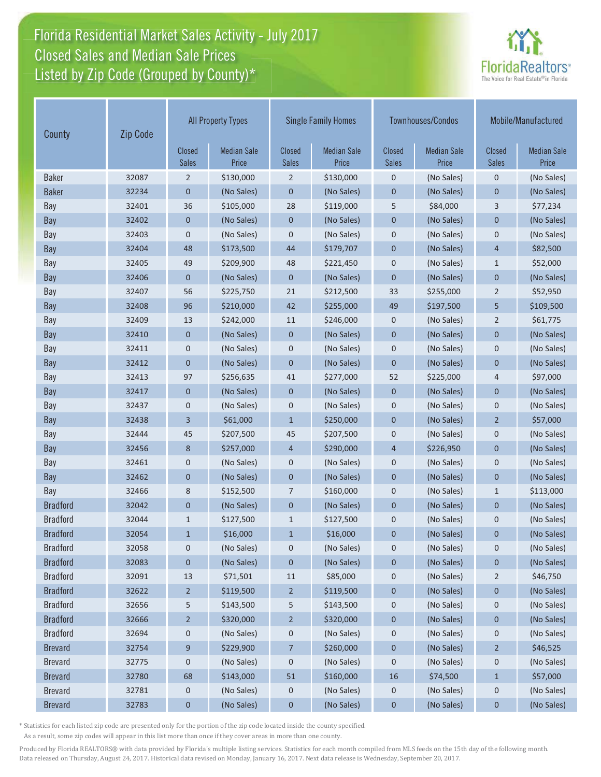# Florida Residential Market Sales Activity - July 2017 Florida Residential Market Sales Activity Listed by Zip Code (Grouped by County)\* Closed Sales and Median Sale Prices



| Zip Code<br>County |       |                               | <b>All Property Types</b>   |                               | <b>Single Family Homes</b>  |                               | Townhouses/Condos           | Mobile/Manufactured    |                             |
|--------------------|-------|-------------------------------|-----------------------------|-------------------------------|-----------------------------|-------------------------------|-----------------------------|------------------------|-----------------------------|
|                    |       | <b>Closed</b><br><b>Sales</b> | <b>Median Sale</b><br>Price | <b>Closed</b><br><b>Sales</b> | <b>Median Sale</b><br>Price | <b>Closed</b><br><b>Sales</b> | <b>Median Sale</b><br>Price | Closed<br><b>Sales</b> | <b>Median Sale</b><br>Price |
| <b>Baker</b>       | 32087 | $\overline{2}$                | \$130,000                   | $\overline{2}$                | \$130,000                   | $\mathbf 0$                   | (No Sales)                  | $\mathbf 0$            | (No Sales)                  |
| <b>Baker</b>       | 32234 | 0                             | (No Sales)                  | 0                             | (No Sales)                  | $\mathbf 0$                   | (No Sales)                  | $\mathbf 0$            | (No Sales)                  |
| Bay                | 32401 | 36                            | \$105,000                   | 28                            | \$119,000                   | 5                             | \$84,000                    | 3                      | \$77,234                    |
| Bay                | 32402 | 0                             | (No Sales)                  | $\pmb{0}$                     | (No Sales)                  | $\mathbf 0$                   | (No Sales)                  | $\mathbf 0$            | (No Sales)                  |
| Bay                | 32403 | 0                             | (No Sales)                  | $\mathsf 0$                   | (No Sales)                  | $\mathbf 0$                   | (No Sales)                  | $\mathsf 0$            | (No Sales)                  |
| <b>Bay</b>         | 32404 | 48                            | \$173,500                   | 44                            | \$179,707                   | $\mathbf 0$                   | (No Sales)                  | $\overline{4}$         | \$82,500                    |
| Bay                | 32405 | 49                            | \$209,900                   | 48                            | \$221,450                   | $\mathbf 0$                   | (No Sales)                  | $\mathbf{1}$           | \$52,000                    |
| Bay                | 32406 | $\overline{0}$                | (No Sales)                  | $\mathbf 0$                   | (No Sales)                  | $\mathbf{0}$                  | (No Sales)                  | $\mathbf 0$            | (No Sales)                  |
| Bay                | 32407 | 56                            | \$225,750                   | 21                            | \$212,500                   | 33                            | \$255,000                   | $\overline{2}$         | \$52,950                    |
| Bay                | 32408 | 96                            | \$210,000                   | 42                            | \$255,000                   | 49                            | \$197,500                   | 5                      | \$109,500                   |
| Bay                | 32409 | 13                            | \$242,000                   | 11                            | \$246,000                   | $\mathbf 0$                   | (No Sales)                  | $\overline{2}$         | \$61,775                    |
| Bay                | 32410 | $\mathbf 0$                   | (No Sales)                  | $\mathbf 0$                   | (No Sales)                  | $\mathbf 0$                   | (No Sales)                  | $\mathbf 0$            | (No Sales)                  |
| Bay                | 32411 | 0                             | (No Sales)                  | $\pmb{0}$                     | (No Sales)                  | $\mathbf 0$                   | (No Sales)                  | $\mathbf 0$            | (No Sales)                  |
| Bay                | 32412 | $\mathbf 0$                   | (No Sales)                  | $\mathbf 0$                   | (No Sales)                  | $\mathbf 0$                   | (No Sales)                  | $\mathbf 0$            | (No Sales)                  |
| Bay                | 32413 | 97                            | \$256,635                   | 41                            | \$277,000                   | 52                            | \$225,000                   | 4                      | \$97,000                    |
| Bay                | 32417 | 0                             | (No Sales)                  | 0                             | (No Sales)                  | $\mathbf 0$                   | (No Sales)                  | $\mathbf 0$            | (No Sales)                  |
| Bay                | 32437 | 0                             | (No Sales)                  | 0                             | (No Sales)                  | $\mathbf 0$                   | (No Sales)                  | $\pmb{0}$              | (No Sales)                  |
| Bay                | 32438 | 3                             | \$61,000                    | $\mathbf{1}$                  | \$250,000                   | $\mathbf 0$                   | (No Sales)                  | $\overline{2}$         | \$57,000                    |
| Bay                | 32444 | 45                            | \$207,500                   | 45                            | \$207,500                   | $\mathbf 0$                   | (No Sales)                  | $\mathbf 0$            | (No Sales)                  |
| <b>Bay</b>         | 32456 | 8                             | \$257,000                   | $\overline{4}$                | \$290,000                   | $\overline{4}$                | \$226,950                   | $\mathbf{0}$           | (No Sales)                  |
| Bay                | 32461 | 0                             | (No Sales)                  | 0                             | (No Sales)                  | $\mathbf 0$                   | (No Sales)                  | $\mathbf 0$            | (No Sales)                  |
| Bay                | 32462 | 0                             | (No Sales)                  | $\overline{0}$                | (No Sales)                  | $\mathbf 0$                   | (No Sales)                  | $\overline{0}$         | (No Sales)                  |
| Bay                | 32466 | 8                             | \$152,500                   | 7                             | \$160,000                   | $\mathbf 0$                   | (No Sales)                  | $\mathbf{1}$           | \$113,000                   |
| <b>Bradford</b>    | 32042 | 0                             | (No Sales)                  | 0                             | (No Sales)                  | $\mathbf 0$                   | (No Sales)                  | $\mathbf{0}$           | (No Sales)                  |
| <b>Bradford</b>    | 32044 | $\mathbf{1}$                  | \$127,500                   | $\mathbf{1}$                  | \$127,500                   | $\pmb{0}$                     | (No Sales)                  | $\mathbf 0$            | (No Sales)                  |
| <b>Bradford</b>    | 32054 | $\mathbf{1}$                  | \$16,000                    | $\mathbf{1}$                  | \$16,000                    | $\mathbf 0$                   | (No Sales)                  | $\mathbf 0$            | (No Sales)                  |
| <b>Bradford</b>    | 32058 | 0                             | (No Sales)                  | 0                             | (No Sales)                  | $\mathbf 0$                   | (No Sales)                  | 0                      | (No Sales)                  |
| <b>Bradford</b>    | 32083 | 0                             | (No Sales)                  | 0                             | (No Sales)                  | $\boldsymbol{0}$              | (No Sales)                  | $\mathbf 0$            | (No Sales)                  |
| <b>Bradford</b>    | 32091 | 13                            | \$71,501                    | 11                            | \$85,000                    | $\mathbf 0$                   | (No Sales)                  | $\overline{2}$         | \$46,750                    |
| <b>Bradford</b>    | 32622 | $\overline{2}$                | \$119,500                   | $\overline{2}$                | \$119,500                   | $\mathbf 0$                   | (No Sales)                  | $\bf{0}$               | (No Sales)                  |
| <b>Bradford</b>    | 32656 | 5                             | \$143,500                   | 5                             | \$143,500                   | 0                             | (No Sales)                  | 0                      | (No Sales)                  |
| <b>Bradford</b>    | 32666 | $\overline{2}$                | \$320,000                   | $\overline{2}$                | \$320,000                   | $\bf{0}$                      | (No Sales)                  | $\boldsymbol{0}$       | (No Sales)                  |
| <b>Bradford</b>    | 32694 | 0                             | (No Sales)                  | 0                             | (No Sales)                  | $\boldsymbol{0}$              | (No Sales)                  | 0                      | (No Sales)                  |
| <b>Brevard</b>     | 32754 | 9                             | \$229,900                   | 7                             | \$260,000                   | $\pmb{0}$                     | (No Sales)                  | $\overline{2}$         | \$46,525                    |
| <b>Brevard</b>     | 32775 | 0                             | (No Sales)                  | $\boldsymbol{0}$              | (No Sales)                  | 0                             | (No Sales)                  | $\mathbf 0$            | (No Sales)                  |
| <b>Brevard</b>     | 32780 | 68                            | \$143,000                   | 51                            | \$160,000                   | 16                            | \$74,500                    | $\mathbf{1}$           | \$57,000                    |
| <b>Brevard</b>     | 32781 | 0                             | (No Sales)                  | 0                             | (No Sales)                  | $\mathbf 0$                   | (No Sales)                  | $\mathbf 0$            | (No Sales)                  |
| <b>Brevard</b>     | 32783 | $\mathbf 0$                   | (No Sales)                  | $\pmb{0}$                     | (No Sales)                  | $\pmb{0}$                     | (No Sales)                  | $\mathbf 0$            | (No Sales)                  |

\* Statistics for each listed zip code are presented only for the portion of the zip code located inside the county specified.

As a result, some zip codes will appear in this list more than once if they cover areas in more than one county.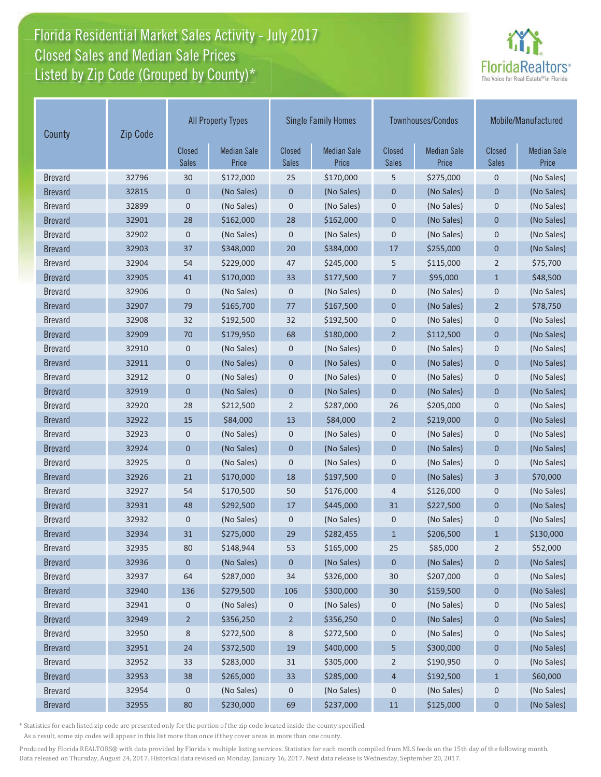# Florida Residential Market Sales Activity - July 2017 Florida Residential Market Sales Activity Listed by Zip Code (Grouped by County)\* Closed Sales and Median Sale Prices



| Zip Code<br>County |       | <b>All Property Types</b>     |                             | <b>Single Family Homes</b>    |                             |                        | Townhouses/Condos           | Mobile/Manufactured    |                             |
|--------------------|-------|-------------------------------|-----------------------------|-------------------------------|-----------------------------|------------------------|-----------------------------|------------------------|-----------------------------|
|                    |       | <b>Closed</b><br><b>Sales</b> | <b>Median Sale</b><br>Price | <b>Closed</b><br><b>Sales</b> | <b>Median Sale</b><br>Price | Closed<br><b>Sales</b> | <b>Median Sale</b><br>Price | Closed<br><b>Sales</b> | <b>Median Sale</b><br>Price |
| <b>Brevard</b>     | 32796 | 30                            | \$172,000                   | 25                            | \$170,000                   | 5                      | \$275,000                   | $\mathbf 0$            | (No Sales)                  |
| <b>Brevard</b>     | 32815 | 0                             | (No Sales)                  | 0                             | (No Sales)                  | $\mathbf 0$            | (No Sales)                  | 0                      | (No Sales)                  |
| <b>Brevard</b>     | 32899 | 0                             | (No Sales)                  | 0                             | (No Sales)                  | $\mathbf 0$            | (No Sales)                  | $\mathbf 0$            | (No Sales)                  |
| <b>Brevard</b>     | 32901 | 28                            | \$162,000                   | 28                            | \$162,000                   | $\mathbf 0$            | (No Sales)                  | $\mathbf 0$            | (No Sales)                  |
| <b>Brevard</b>     | 32902 | 0                             | (No Sales)                  | 0                             | (No Sales)                  | $\mathbf 0$            | (No Sales)                  | $\mathbf 0$            | (No Sales)                  |
| <b>Brevard</b>     | 32903 | 37                            | \$348,000                   | 20                            | \$384,000                   | 17                     | \$255,000                   | $\mathbf 0$            | (No Sales)                  |
| <b>Brevard</b>     | 32904 | 54                            | \$229,000                   | 47                            | \$245,000                   | 5                      | \$115,000                   | $\overline{2}$         | \$75,700                    |
| <b>Brevard</b>     | 32905 | 41                            | \$170,000                   | 33                            | \$177,500                   | $\overline{7}$         | \$95,000                    | $\mathbf{1}$           | \$48,500                    |
| <b>Brevard</b>     | 32906 | 0                             | (No Sales)                  | 0                             | (No Sales)                  | $\mathbf 0$            | (No Sales)                  | $\mathbf 0$            | (No Sales)                  |
| <b>Brevard</b>     | 32907 | 79                            | \$165,700                   | 77                            | \$167,500                   | $\mathbf 0$            | (No Sales)                  | $\overline{2}$         | \$78,750                    |
| <b>Brevard</b>     | 32908 | 32                            | \$192,500                   | 32                            | \$192,500                   | $\mathbf 0$            | (No Sales)                  | $\mathbf 0$            | (No Sales)                  |
| <b>Brevard</b>     | 32909 | 70                            | \$179,950                   | 68                            | \$180,000                   | $\overline{2}$         | \$112,500                   | $\mathbf 0$            | (No Sales)                  |
| <b>Brevard</b>     | 32910 | 0                             | (No Sales)                  | 0                             | (No Sales)                  | $\mathbf 0$            | (No Sales)                  | $\mathbf 0$            | (No Sales)                  |
| <b>Brevard</b>     | 32911 | $\mathbf 0$                   | (No Sales)                  | $\mathbf 0$                   | (No Sales)                  | $\mathbf 0$            | (No Sales)                  | $\mathbf 0$            | (No Sales)                  |
| <b>Brevard</b>     | 32912 | 0                             | (No Sales)                  | 0                             | (No Sales)                  | $\mathbf 0$            | (No Sales)                  | 0                      | (No Sales)                  |
| <b>Brevard</b>     | 32919 | $\mathbf 0$                   | (No Sales)                  | $\pmb{0}$                     | (No Sales)                  | $\mathbf 0$            | (No Sales)                  | $\mathbf 0$            | (No Sales)                  |
| <b>Brevard</b>     | 32920 | 28                            | \$212,500                   | $\overline{2}$                | \$287,000                   | 26                     | \$205,000                   | $\mathbf 0$            | (No Sales)                  |
| <b>Brevard</b>     | 32922 | 15                            | \$84,000                    | 13                            | \$84,000                    | $\overline{2}$         | \$219,000                   | $\mathbf 0$            | (No Sales)                  |
| <b>Brevard</b>     | 32923 | 0                             | (No Sales)                  | 0                             | (No Sales)                  | $\mathbf 0$            | (No Sales)                  | $\mathbf 0$            | (No Sales)                  |
| <b>Brevard</b>     | 32924 | $\overline{0}$                | (No Sales)                  | $\overline{0}$                | (No Sales)                  | $\mathbf{0}$           | (No Sales)                  | $\overline{0}$         | (No Sales)                  |
| <b>Brevard</b>     | 32925 | $\mathbf 0$                   | (No Sales)                  | 0                             | (No Sales)                  | $\mathbf 0$            | (No Sales)                  | $\mathbf 0$            | (No Sales)                  |
| <b>Brevard</b>     | 32926 | 21                            | \$170,000                   | 18                            | \$197,500                   | $\mathbf 0$            | (No Sales)                  | 3                      | \$70,000                    |
| <b>Brevard</b>     | 32927 | 54                            | \$170,500                   | 50                            | \$176,000                   | 4                      | \$126,000                   | $\mathbf 0$            | (No Sales)                  |
| <b>Brevard</b>     | 32931 | 48                            | \$292,500                   | 17                            | \$445,000                   | 31                     | \$227,500                   | $\mathbf 0$            | (No Sales)                  |
| <b>Brevard</b>     | 32932 | 0                             | (No Sales)                  | 0                             | (No Sales)                  | $\mathbf 0$            | (No Sales)                  | $\mathbf 0$            | (No Sales)                  |
| <b>Brevard</b>     | 32934 | 31                            | \$275,000                   | 29                            | \$282,455                   | $\mathbf{1}$           | \$206,500                   | $\mathbf{1}$           | \$130,000                   |
| <b>Brevard</b>     | 32935 | 80                            | \$148,944                   | 53                            | \$165,000                   | 25                     | \$85,000                    | $\overline{2}$         | \$52,000                    |
| <b>Brevard</b>     | 32936 | 0                             | (No Sales)                  | 0                             | (No Sales)                  | $\mathbf 0$            | (No Sales)                  | 0                      | (No Sales)                  |
| <b>Brevard</b>     | 32937 | 64                            | \$287,000                   | 34                            | \$326,000                   | 30                     | \$207,000                   | $\mathbf 0$            | (No Sales)                  |
| <b>Brevard</b>     | 32940 | 136                           | \$279,500                   | 106                           | \$300,000                   | 30                     | \$159,500                   | $\pmb{0}$              | (No Sales)                  |
| <b>Brevard</b>     | 32941 | 0                             | (No Sales)                  | 0                             | (No Sales)                  | 0                      | (No Sales)                  | 0                      | (No Sales)                  |
| <b>Brevard</b>     | 32949 | $\overline{c}$                | \$356,250                   | $\overline{2}$                | \$356,250                   | $\pmb{0}$              | (No Sales)                  | $\pmb{0}$              | (No Sales)                  |
| <b>Brevard</b>     | 32950 | 8                             | \$272,500                   | 8                             | \$272,500                   | $\mathbf 0$            | (No Sales)                  | $\mathbf 0$            | (No Sales)                  |
| <b>Brevard</b>     | 32951 | 24                            | \$372,500                   | 19                            | \$400,000                   | 5                      | \$300,000                   | $\pmb{0}$              | (No Sales)                  |
| <b>Brevard</b>     | 32952 | 33                            | \$283,000                   | 31                            | \$305,000                   | 2                      | \$190,950                   | $\mathbf 0$            | (No Sales)                  |
| <b>Brevard</b>     | 32953 | 38                            | \$265,000                   | 33                            | \$285,000                   | $\overline{4}$         | \$192,500                   | $\mathbf{1}$           | \$60,000                    |
| <b>Brevard</b>     | 32954 | 0                             | (No Sales)                  | 0                             | (No Sales)                  | $\pmb{0}$              | (No Sales)                  | 0                      | (No Sales)                  |
| <b>Brevard</b>     | 32955 | $80\,$                        | \$230,000                   | 69                            | \$237,000                   | $11$                   | \$125,000                   | $\pmb{0}$              | (No Sales)                  |

\* Statistics for each listed zip code are presented only for the portion of the zip code located inside the county specified.

As a result, some zip codes will appear in this list more than once if they cover areas in more than one county.